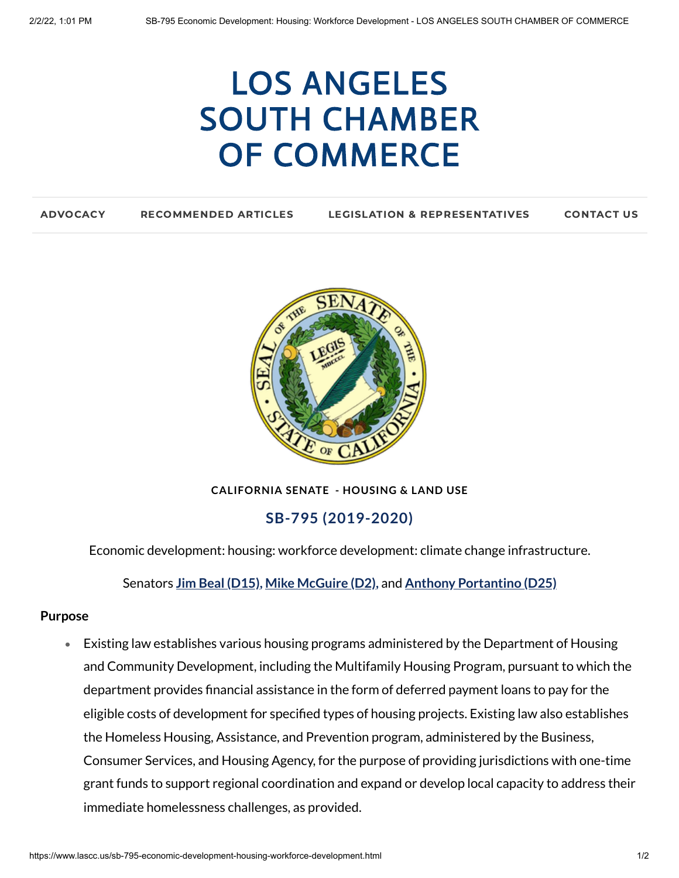# LOS ANGELES SOUTH CHAMBER OF [COMMERCE](https://www.lascc.us/)

| <b>ADVOCACY</b> | <b>RECOMMENDED ARTICLES</b> | <b>LEGISLATION &amp; REPRESENTATIVES</b> | <b>CONTACT US</b> |
|-----------------|-----------------------------|------------------------------------------|-------------------|
|                 |                             |                                          |                   |



**CALIFORNIA SENATE - HOUSING & LAND USE**

**SB-795 (2019-2020)**

Economic development: housing: workforce development: climate change infrastructure.

Senators **Jim Beal [\(D15\)](https://sd15.senate.ca.gov/)[,](https://sd25.senate.ca.gov/) Mike [McGuire](https://sd02.senate.ca.gov/) (D2[\),](https://sd25.senate.ca.gov/)** [and](https://sd25.senate.ca.gov/) **Anthony [Portantino](https://sd25.senate.ca.gov/) (D25)**

#### **Purpose**

Existing law establishes various housing programs administered by the Department of Housing  $\bullet$ and Community Development, including the Multifamily Housing Program, pursuant to which the department provides financial assistance in the form of deferred payment loans to pay for the eligible costs of development for specified types of housing projects. Existing law also establishes the Homeless Housing, Assistance, and Prevention program, administered by the Business, Consumer Services, and Housing Agency, for the purpose of providing jurisdictions with one-time grant funds to support regional coordination and expand or develop local capacity to address their immediate homelessness challenges, as provided.